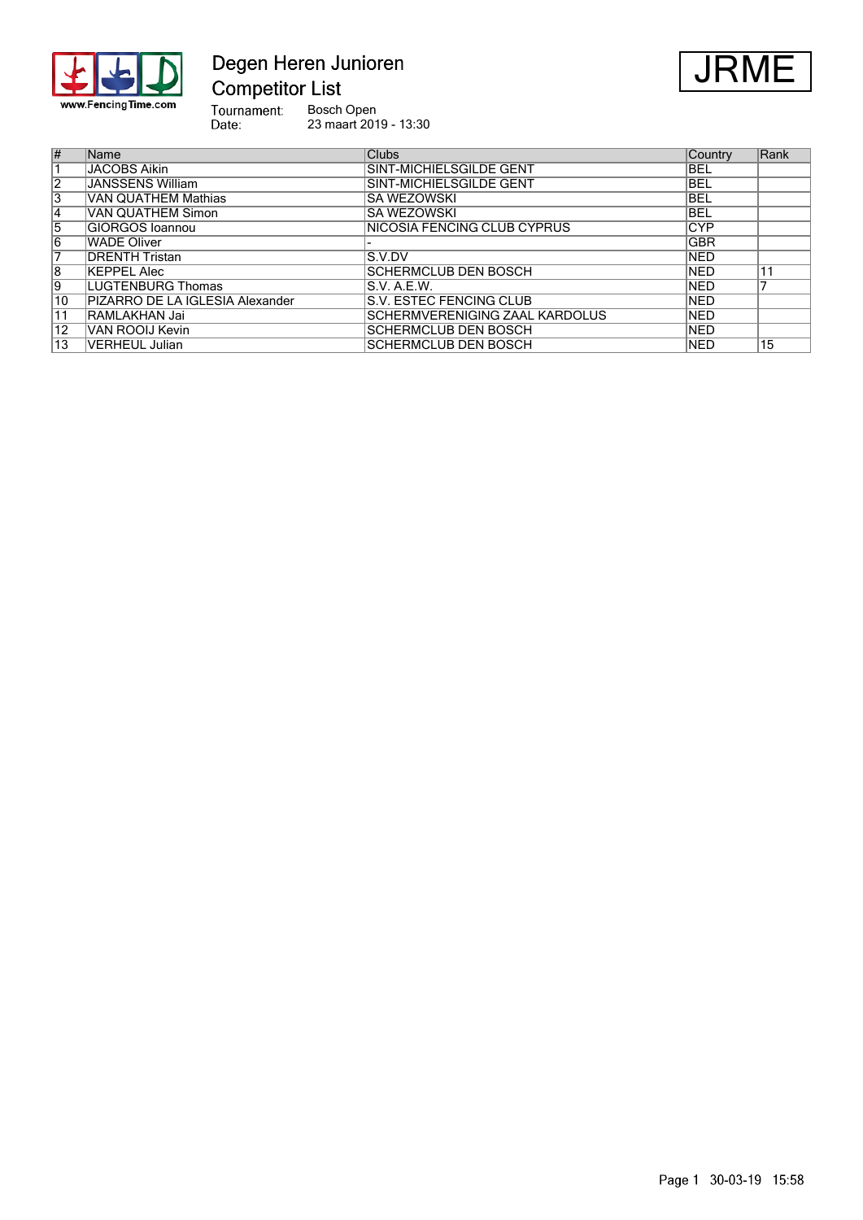

# Degen Heren Junioren **Competitor List**



Tournament:<br>Date: Bosch Open 23 maart 2019 - 13:30

| $\overline{\#}$ | Name                            | <b>Clubs</b>                   | Country    | Rank |
|-----------------|---------------------------------|--------------------------------|------------|------|
|                 | <b>JACOBS Aikin</b>             | SINT-MICHIELSGILDE GENT        | <b>BEL</b> |      |
| $\overline{2}$  | <b>JANSSENS William</b>         | SINT-MICHIELSGILDE GENT        | <b>BEL</b> |      |
| $\overline{3}$  | VAN QUATHEM Mathias             | <b>SA WEZOWSKI</b>             | <b>BEL</b> |      |
| 14              | <b>VAN QUATHEM Simon</b>        | <b>SA WEZOWSKI</b>             | <b>BEL</b> |      |
| 5               | <b>GIORGOS</b> Ioannou          | NICOSIA FENCING CLUB CYPRUS    | <b>CYP</b> |      |
| 6               | WADE Oliver                     |                                | <b>GBR</b> |      |
| 7               | <b>DRENTH Tristan</b>           | S.V.DV                         | <b>NED</b> |      |
| $\overline{8}$  | KEPPEL Alec                     | <b>SCHERMCLUB DEN BOSCH</b>    | <b>NED</b> | 11   |
| 9               | LUGTENBURG Thomas               | S.V. A.E.W.                    | <b>NED</b> |      |
| 10              | PIZARRO DE LA IGLESIA Alexander | S.V. ESTEC FENCING CLUB        | <b>NED</b> |      |
| 11              | RAMLAKHAN Jai                   | SCHERMVERENIGING ZAAL KARDOLUS | <b>NED</b> |      |
| $\overline{12}$ | VAN ROOIJ Kevin                 | <b>SCHERMCLUB DEN BOSCH</b>    | <b>NED</b> |      |
| 13              | <b>VERHEUL Julian</b>           | <b>SCHERMCLUB DEN BOSCH</b>    | <b>NED</b> | 15   |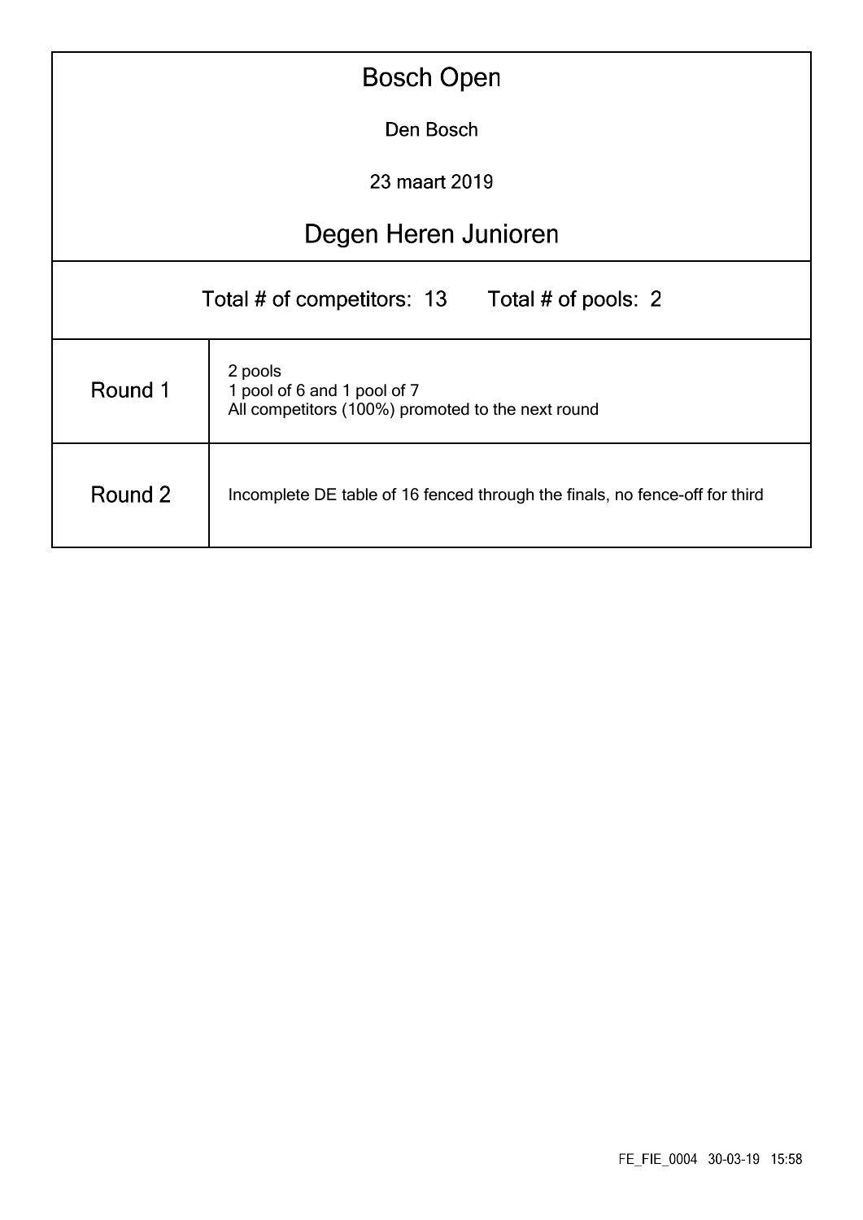| <b>Bosch Open</b>                                                                                      |                      |  |  |  |  |  |  |  |  |
|--------------------------------------------------------------------------------------------------------|----------------------|--|--|--|--|--|--|--|--|
|                                                                                                        | Den Bosch            |  |  |  |  |  |  |  |  |
| 23 maart 2019                                                                                          |                      |  |  |  |  |  |  |  |  |
|                                                                                                        | Degen Heren Junioren |  |  |  |  |  |  |  |  |
| Total # of competitors: 13 Total # of pools: 2                                                         |                      |  |  |  |  |  |  |  |  |
| 2 pools<br>Round 1<br>1 pool of 6 and 1 pool of 7<br>All competitors (100%) promoted to the next round |                      |  |  |  |  |  |  |  |  |
| Round 2<br>Incomplete DE table of 16 fenced through the finals, no fence-off for third                 |                      |  |  |  |  |  |  |  |  |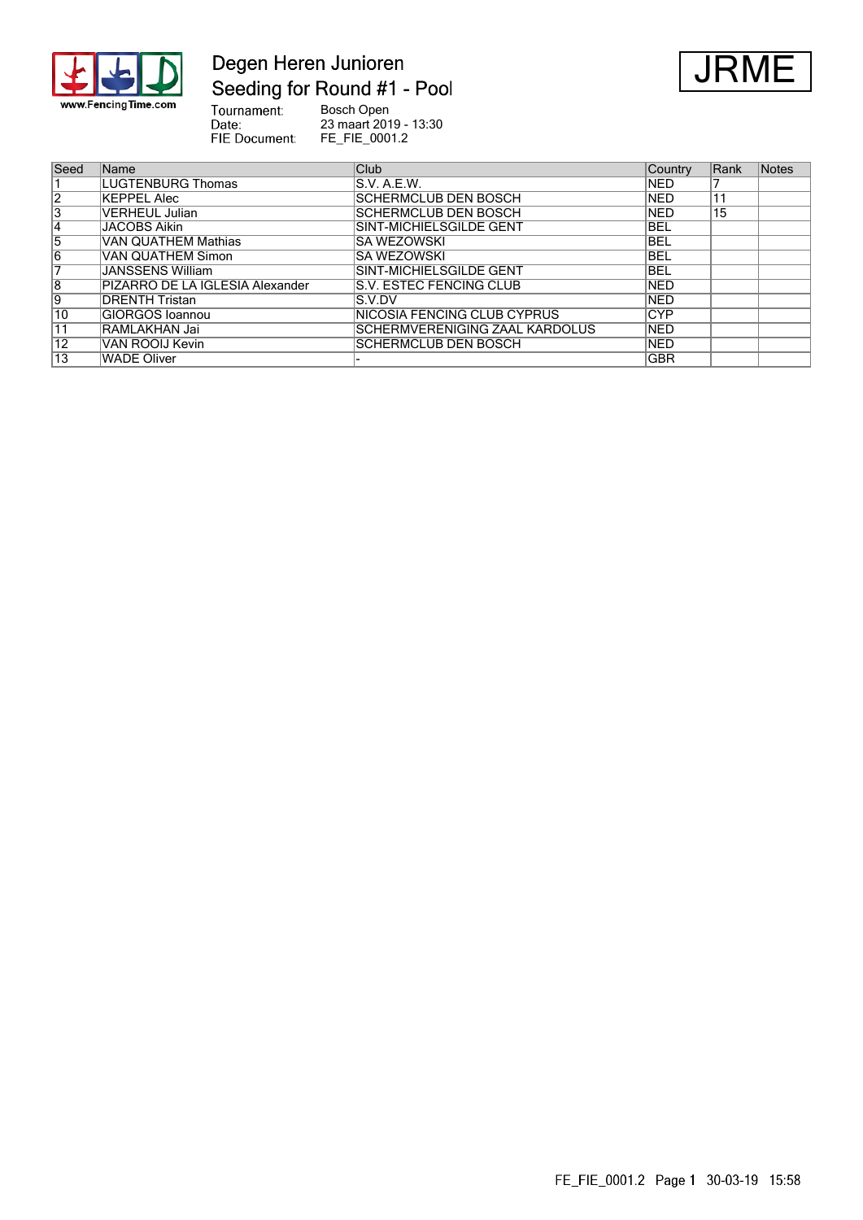

# Degen Heren Junioren Seeding for Round #1 - Pool



Tournament:<br>Date:<br>FIE Document: Bosch Open 23 maart 2019 - 13:30 FE\_FIE\_0001.2

| Seed            | <b>Name</b>                     | Club                           | Country    | Rank | <b>Notes</b> |
|-----------------|---------------------------------|--------------------------------|------------|------|--------------|
|                 | LUGTENBURG Thomas               | S.V. A.E.W.                    | <b>NED</b> |      |              |
| $\overline{2}$  | KEPPEL Alec                     | SCHERMCLUB DEN BOSCH           | <b>NED</b> | 11   |              |
| 3               | VERHEUL Julian                  | SCHERMCLUB DEN BOSCH           | <b>NED</b> | 15   |              |
| 14              | <b>JACOBS Aikin</b>             | SINT-MICHIELSGILDE GENT        | <b>BEL</b> |      |              |
| 5               | VAN QUATHEM Mathias             | ISA WEZOWSKI                   | <b>BEL</b> |      |              |
| 6               | <b>VAN QUATHEM Simon</b>        | ISA WEZOWSKI                   | <b>BEL</b> |      |              |
| 7               | JANSSENS William                | SINT-MICHIELSGILDE GENT        | <b>BEL</b> |      |              |
| $\overline{8}$  | PIZARRO DE LA IGLESIA Alexander | S.V. ESTEC FENCING CLUB        | <b>NED</b> |      |              |
| 9               | IDRENTH Tristan                 | IS.V.DV                        | <b>NED</b> |      |              |
| 10              | <b>GIORGOS Ioannou</b>          | INICOSIA FENCING CLUB CYPRUS   | <b>CYP</b> |      |              |
| $\overline{11}$ | RAMLAKHAN Jai                   | SCHERMVERENIGING ZAAL KARDOLUS | <b>NED</b> |      |              |
| 12              | VAN ROOIJ Kevin                 | SCHERMCLUB DEN BOSCH           | <b>NED</b> |      |              |
| 13              | WADE Oliver                     |                                | <b>GBR</b> |      |              |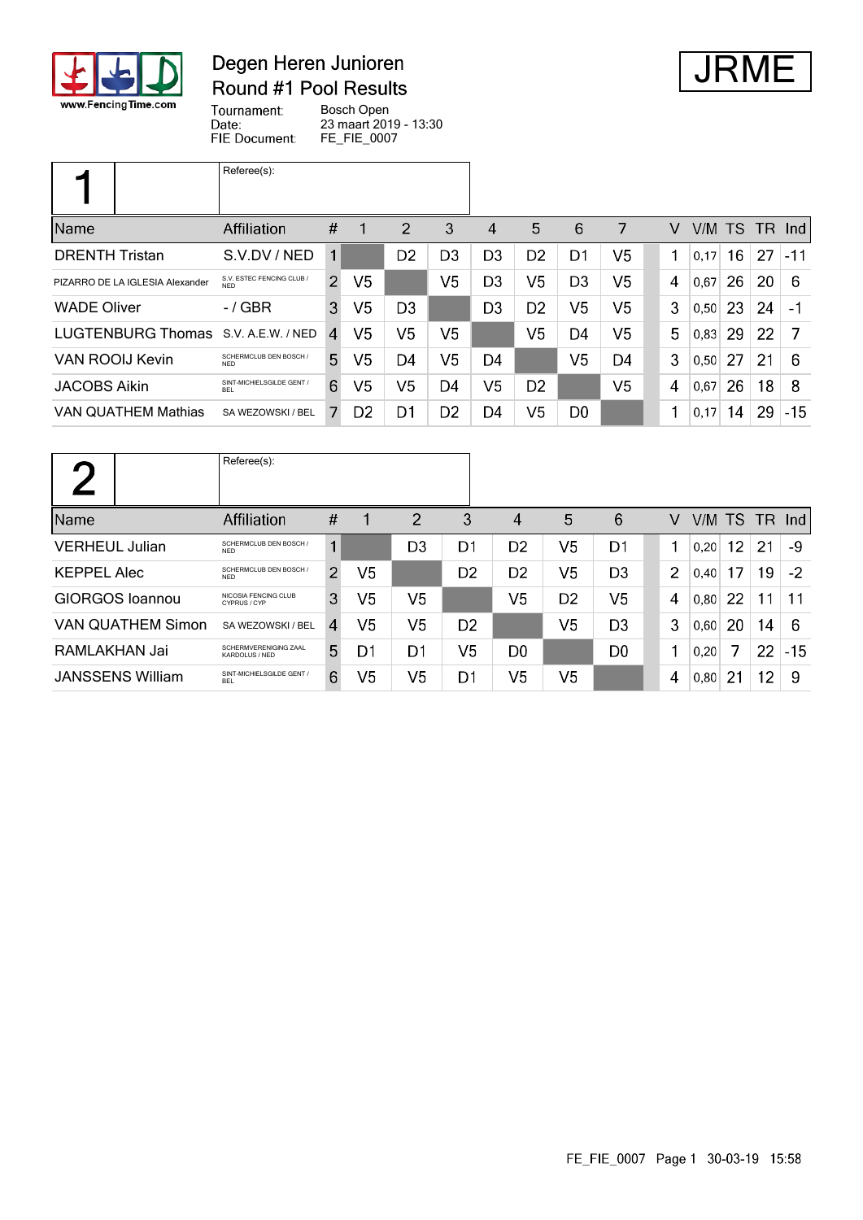

#### Degen Heren Junioren Round #1 Pool Results



Tournament: Bosch Open Date: 23 maart 2019 - 13:30 FIE Document: FE\_FIE\_0007

|                                     | Referee(s):                             |                |                |                |                |                |                |                |    |   |        |    |    |        |
|-------------------------------------|-----------------------------------------|----------------|----------------|----------------|----------------|----------------|----------------|----------------|----|---|--------|----|----|--------|
| Name                                | Affiliation                             | #              |                | 2              | 3              | 4              | 5              | 6              | 7  | V | V/M TS |    |    | TR Ind |
| <b>DRENTH Tristan</b>               | S.V.DV / NED                            | $\mathbf{1}$   |                | D <sub>2</sub> | D <sub>3</sub> | D <sub>3</sub> | D <sub>2</sub> | D1             | V5 | 1 | 0,17   | 16 | 27 | $-11$  |
| PIZARRO DE LA IGLESIA Alexander     | S.V. ESTEC FENCING CLUB /<br><b>NFD</b> | $\overline{2}$ | V <sub>5</sub> |                | V5             | D <sub>3</sub> | V <sub>5</sub> | D <sub>3</sub> | V5 | 4 | 0.67   | 26 | 20 | 6      |
| <b>WADE Oliver</b>                  | $-$ / GBR                               | 3              | V <sub>5</sub> | D <sub>3</sub> |                | D <sub>3</sub> | D <sub>2</sub> | V5             | V5 | 3 | 0,50   | 23 | 24 | $-1$   |
| LUGTENBURG Thomas S.V. A.E.W. / NED |                                         | $\overline{4}$ | V5             | V5             | V5             |                | V5             | D4             | V5 | 5 | 0.83   | 29 | 22 | 7      |
| VAN ROOIJ Kevin                     | SCHERMCLUB DEN BOSCH /<br><b>NFD</b>    | 5              | V <sub>5</sub> | D4             | V5             | D4             |                | V <sub>5</sub> | D4 | 3 | 0, 50  | 27 | 21 | 6      |
| <b>JACOBS Aikin</b>                 | SINT-MICHIELSGILDE GENT /<br><b>BEL</b> | 6              | V <sub>5</sub> | V <sub>5</sub> | D <sub>4</sub> | V <sub>5</sub> | D <sub>2</sub> |                | V5 | 4 | 0,67   | 26 | 18 | 8      |
| <b>VAN QUATHEM Mathias</b>          | SA WEZOWSKI / BEL                       |                | D <sub>2</sub> | D1             | D <sub>2</sub> | D4             | V5             | D <sub>0</sub> |    | 1 | 0,17   | 14 | 29 | $-15$  |

|                          | Referee(s):                             |                |    |                |                |                |                |                |                |        |    |     |       |
|--------------------------|-----------------------------------------|----------------|----|----------------|----------------|----------------|----------------|----------------|----------------|--------|----|-----|-------|
| Name                     | <b>Affiliation</b>                      | #              | 1  | $\overline{2}$ | 3              | 4              | 5              | 6              | V              | V/M TS |    | TR. | -Ind  |
| <b>VERHEUL Julian</b>    | SCHERMCLUB DEN BOSCH /<br><b>NED</b>    | 1              |    | D <sub>3</sub> | D1             | D <sub>2</sub> | V5             | D1             |                | 0.20   | 12 | 21  | -9    |
| <b>KEPPEL Alec</b>       | SCHERMCLUB DEN BOSCH /<br><b>NFD</b>    | $\mathcal{P}$  | V5 |                | D <sub>2</sub> | D <sub>2</sub> | V5             | D <sub>3</sub> | $\overline{2}$ | 0,40   | 17 | 19  | $-2$  |
| <b>GIORGOS</b> Ioannou   | NICOSIA FENCING CLUB<br>CYPRUS / CYP    | 3              | V5 | V <sub>5</sub> |                | V5             | D <sub>2</sub> | V <sub>5</sub> | 4              | 0.80   | 22 | 11  | 11    |
| <b>VAN QUATHEM Simon</b> | SA WEZOWSKI / BEL                       | 4              | V5 | V <sub>5</sub> | D <sub>2</sub> |                | V5             | D <sub>3</sub> | 3              | 0,60   | 20 | 14  | 6     |
| RAMLAKHAN Jai            | SCHERMVERENIGING ZAAL<br>KARDOLUS / NED | 5 <sup>5</sup> | D1 | D1             | V <sub>5</sub> | D <sub>0</sub> |                | D <sub>0</sub> | 1              | 0.20   | 7  | 22  | $-15$ |
| <b>JANSSENS William</b>  | SINT-MICHIELSGILDE GENT /<br><b>BEL</b> | 6              | V5 | V5             | D <sub>1</sub> | V5             | V5             |                | 4              | 0,80   | 21 | 12  | -9    |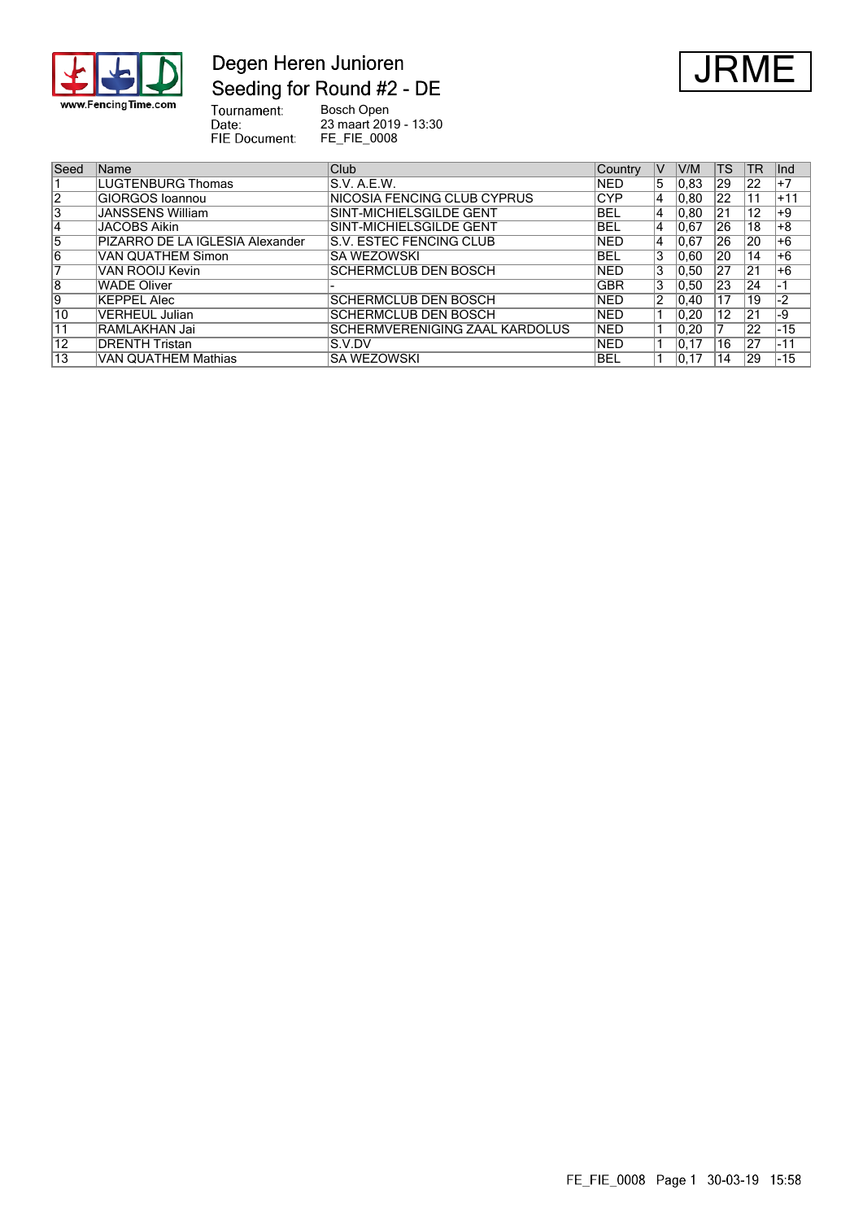

## Degen Heren Junioren Seeding for Round #2 - DE



Tournament:<br>Date:<br>FIE Document: Bosch Open 23 maart 2019 - 13:30 FE\_FIE\_0008

| Seed | <b>Name</b>                     | Club                            | Country    | V | V/M            | <b>TS</b> | TR | llnd  |
|------|---------------------------------|---------------------------------|------------|---|----------------|-----------|----|-------|
|      | <b>LUGTENBURG Thomas</b>        | IS.V. A.E.W.                    | <b>NED</b> | 5 | $ 0.83\rangle$ | 29        | 22 | +7    |
| 2    | GIORGOS Ioannou                 | INICOSIA FENCING CLUB CYPRUS    | <b>CYP</b> | 4 | 0.80           | 22        | 11 | $+11$ |
| ۱3   | <b>JANSSENS William</b>         | ISINT-MICHIELSGILDE GENT        | BEL        | 4 | 0.80           | 21        | 12 | $+9$  |
| 14   | <b>JACOBS Aikin</b>             | SINT-MICHIELSGILDE GENT         | <b>BEL</b> | 4 | 0.67           | 26        | 18 | +8    |
| 15   | PIZARRO DE LA IGLESIA Alexander | IS.V. ESTEC FENCING CLUB        | <b>NED</b> | 4 | 0.67           | 26        | 20 | +6    |
| 16   | VAN QUATHEM Simon               | ISA WEZOWSKI                    | BEL        |   | 0.60           | 20        | 14 | +6    |
|      | VAN ROOIJ Kevin                 | SCHERMCLUB DEN BOSCH            | <b>NED</b> | 3 | 0.50           | 27        | 21 | +6    |
| 8    | <b>WADE Oliver</b>              |                                 | <b>GBR</b> |   | 0.50           | 23        | 24 | -1    |
| Ι9   | KEPPEL Alec                     | SCHERMCLUB DEN BOSCH            | <b>NED</b> |   | 0.40           | 17        | 19 | $-2$  |
| 10   | <b>VERHEUL Julian</b>           | SCHERMCLUB DEN BOSCH            | <b>NED</b> |   | 0.20           | 12        | 21 | -9    |
| 11   | RAMLAKHAN Jai                   | ISCHERMVERENIGING ZAAL KARDOLUS | <b>NED</b> |   | $ 0.20\rangle$ |           | 22 | $-15$ |
| 12   | DRENTH Tristan                  | IS V DV                         | <b>NED</b> |   | 10.17          | 16        | 27 | $-11$ |
| 13   | VAN QUATHEM Mathias             | ISA WEZOWSKI                    | BEL        |   | 10.17          | 14        | 29 | $-15$ |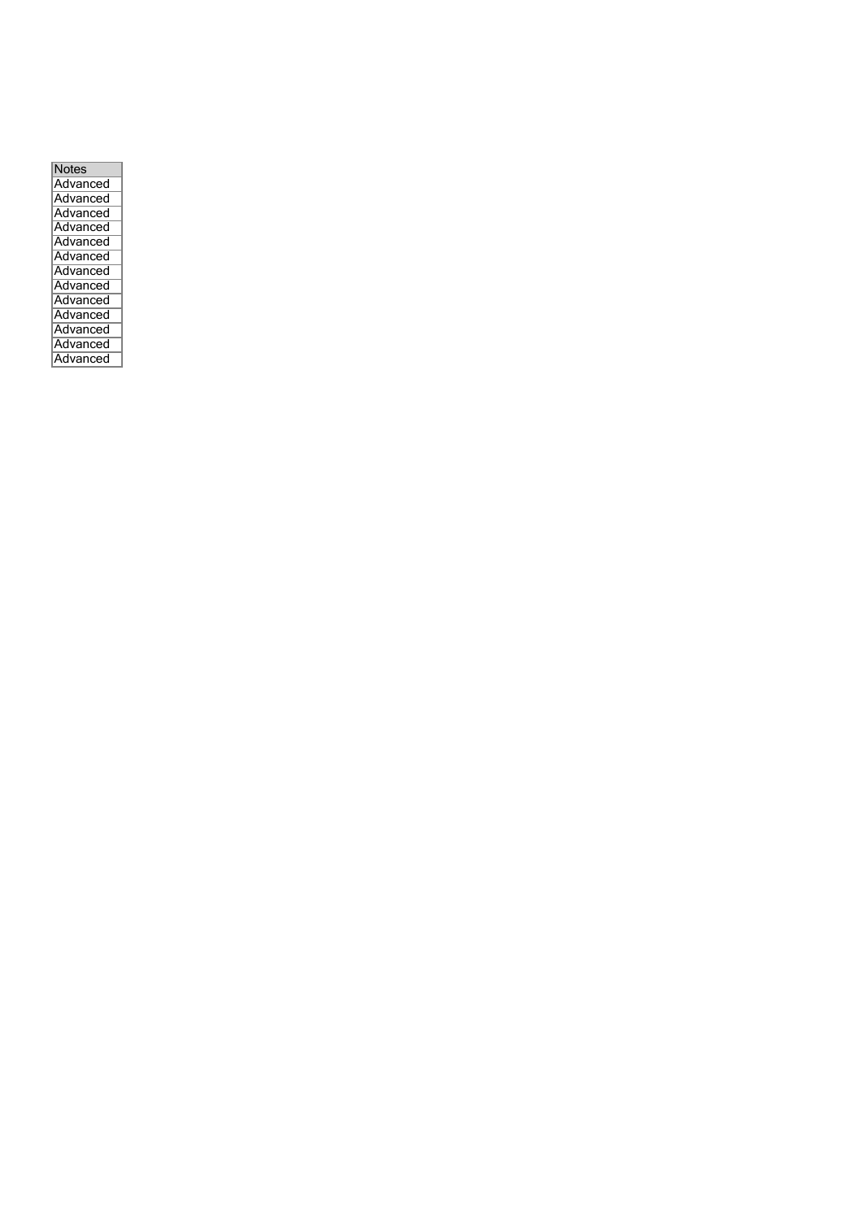| <b>Notes</b> |
|--------------|
| Advanced     |
| Advanced     |
| Advanced     |
| Advanced     |
| Advanced     |
| Advanced     |
| Advanced     |
| Advanced     |
| Advanced     |
| Advanced     |
| Advanced     |
| Advanced     |
| Advanced     |
|              |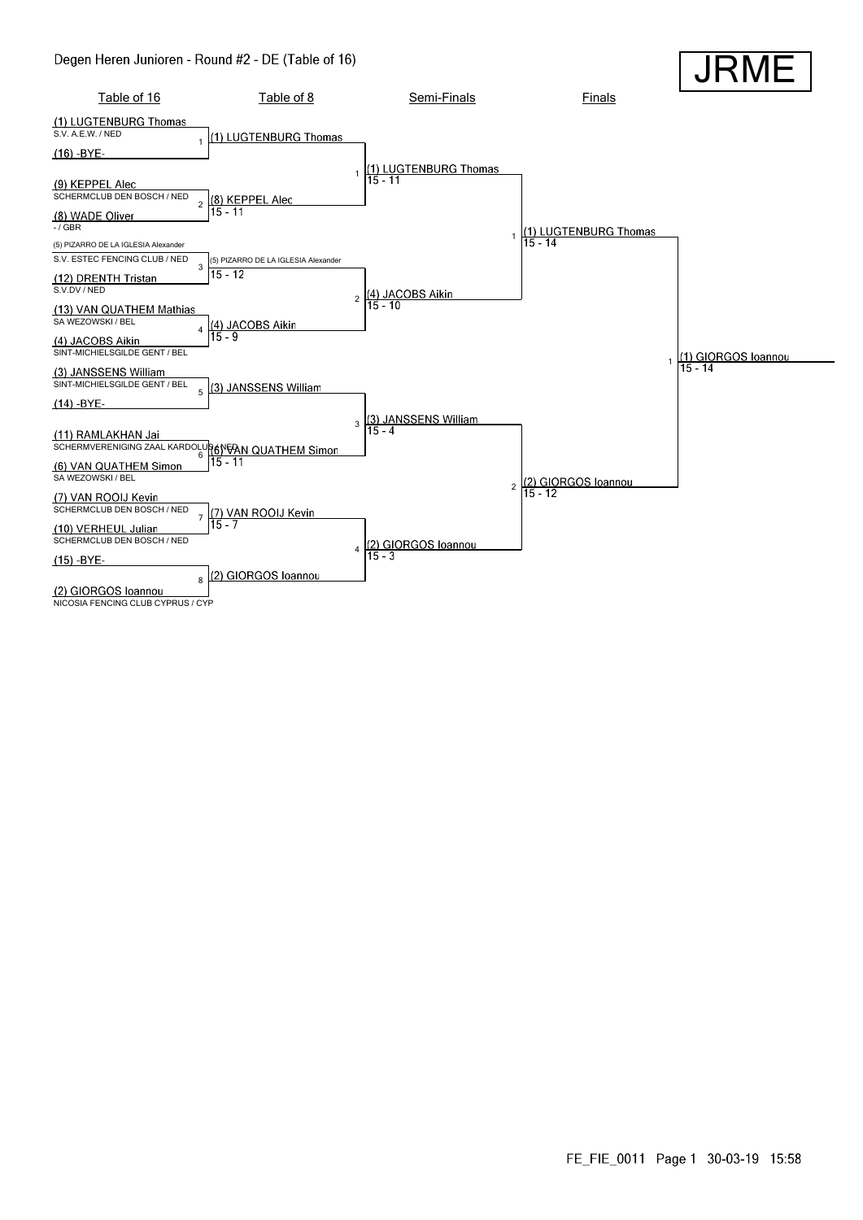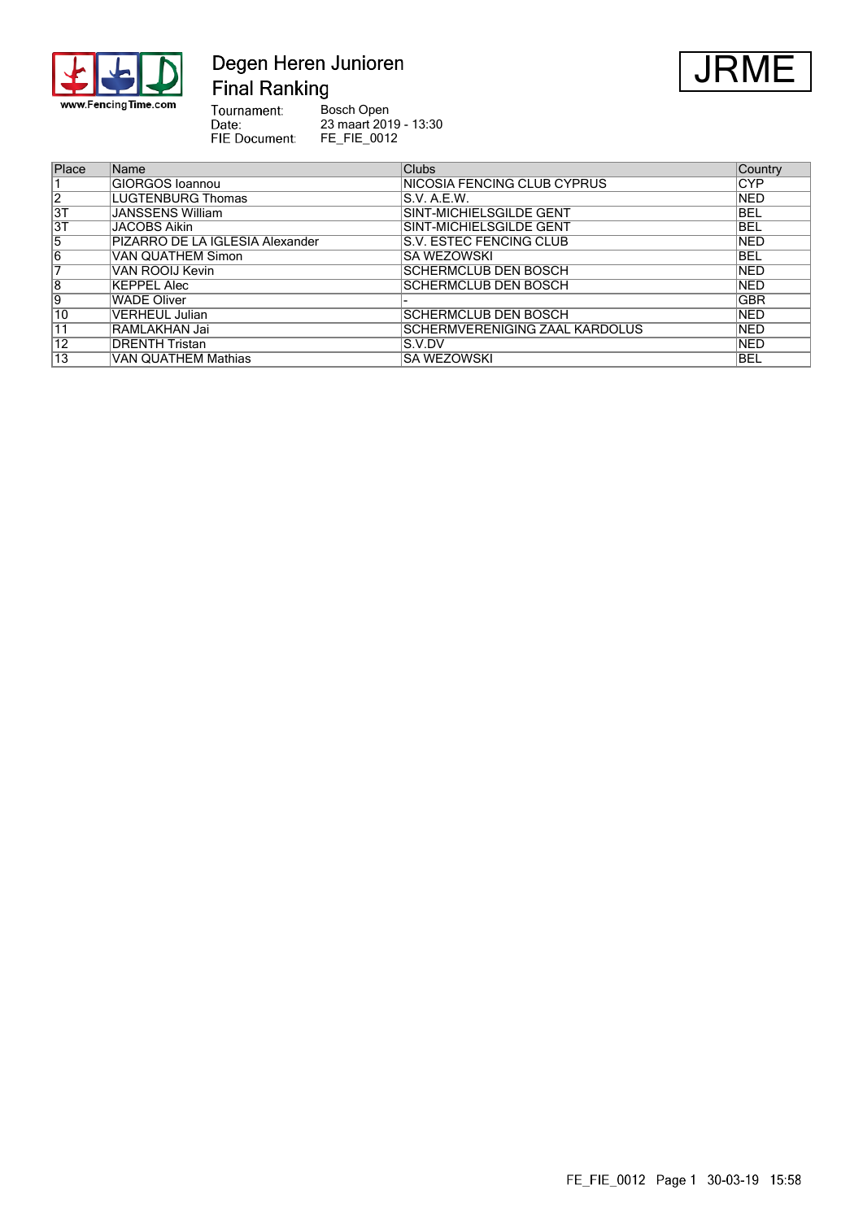

#### Degen Heren Junioren **Final Ranking**



Tournament:<br>Date:<br>PIE Document: Bosch Open 23 maart 2019 - 13:30 FE\_FIE\_0012

| Place      | Name                            | <b>Clubs</b>                   | Country    |
|------------|---------------------------------|--------------------------------|------------|
|            | GIORGOS Ioannou                 | NICOSIA FENCING CLUB CYPRUS    | <b>CYP</b> |
| $\sqrt{2}$ | LUGTENBURG Thomas               | S.V. A.E.W.                    | <b>NED</b> |
| 3T         | JANSSENS William                | SINT-MICHIELSGILDE GENT        | <b>BEL</b> |
| 3T         | <b>JACOBS Aikin</b>             | SINT-MICHIELSGILDE GENT        | <b>BEL</b> |
| 15         | PIZARRO DE LA IGLESIA Alexander | S.V. ESTEC FENCING CLUB        | <b>NED</b> |
| 16         | <b>VAN QUATHEM Simon</b>        | SA WEZOWSKI                    | <b>BEL</b> |
|            | VAN ROOIJ Kevin                 | <b>SCHERMCLUB DEN BOSCH</b>    | <b>NED</b> |
| 8          | <b>KEPPEL Alec</b>              | <b>SCHERMCLUB DEN BOSCH</b>    | <b>NED</b> |
| 19         | <b>WADE Oliver</b>              |                                | <b>GBR</b> |
| 10         | <b>VERHEUL Julian</b>           | <b>SCHERMCLUB DEN BOSCH</b>    | <b>NED</b> |
| 11         | RAMLAKHAN Jai                   | SCHERMVERENIGING ZAAL KARDOLUS | <b>NED</b> |
| 12         | <b>DRENTH Tristan</b>           | S.V.DV                         | <b>NED</b> |
| 13         | <b>VAN QUATHEM Mathias</b>      | <b>SA WEZOWSKI</b>             | <b>BEL</b> |